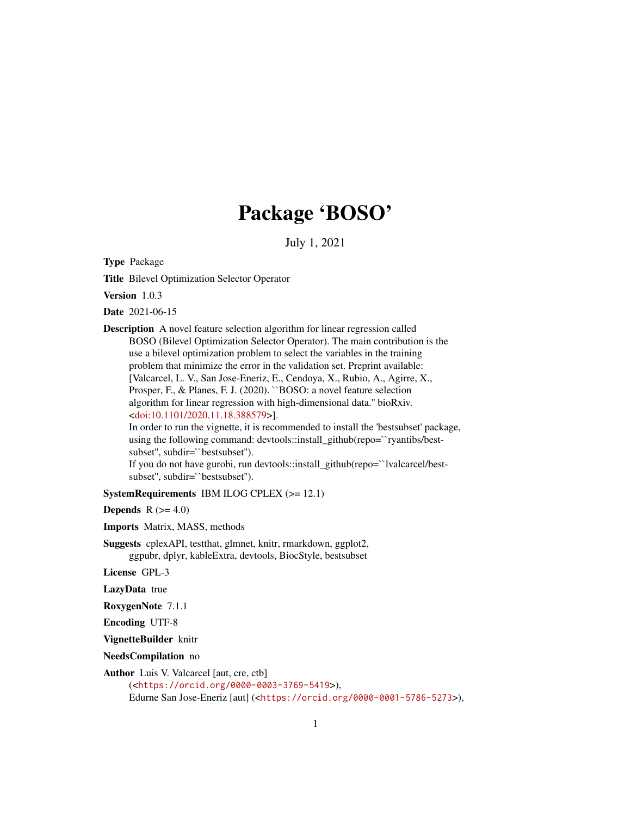## Package 'BOSO'

July 1, 2021

<span id="page-0-0"></span>Type Package

Title Bilevel Optimization Selector Operator

Version 1.0.3

Date 2021-06-15

Description A novel feature selection algorithm for linear regression called BOSO (Bilevel Optimization Selector Operator). The main contribution is the use a bilevel optimization problem to select the variables in the training problem that minimize the error in the validation set. Preprint available: [Valcarcel, L. V., San Jose-Eneriz, E., Cendoya, X., Rubio, A., Agirre, X., Prosper, F., & Planes, F. J. (2020). ``BOSO: a novel feature selection algorithm for linear regression with high-dimensional data.'' bioRxiv. [<doi:10.1101/2020.11.18.388579>](https://doi.org/10.1101/2020.11.18.388579)].

In order to run the vignette, it is recommended to install the 'bestsubset' package, using the following command: devtools::install\_github(repo=``ryantibs/bestsubset'', subdir=``bestsubset'').

If you do not have gurobi, run devtools::install\_github(repo=``lvalcarcel/bestsubset'', subdir=``bestsubset'').

SystemRequirements IBM ILOG CPLEX (>= 12.1)

Depends  $R$  ( $>= 4.0$ )

Imports Matrix, MASS, methods

Suggests cplexAPI, testthat, glmnet, knitr, rmarkdown, ggplot2, ggpubr, dplyr, kableExtra, devtools, BiocStyle, bestsubset

License GPL-3

LazyData true

RoxygenNote 7.1.1

Encoding UTF-8

VignetteBuilder knitr

NeedsCompilation no

Author Luis V. Valcarcel [aut, cre, ctb]

(<<https://orcid.org/0000-0003-3769-5419>>), Edurne San Jose-Eneriz [aut] (<<https://orcid.org/0000-0001-5786-5273>>),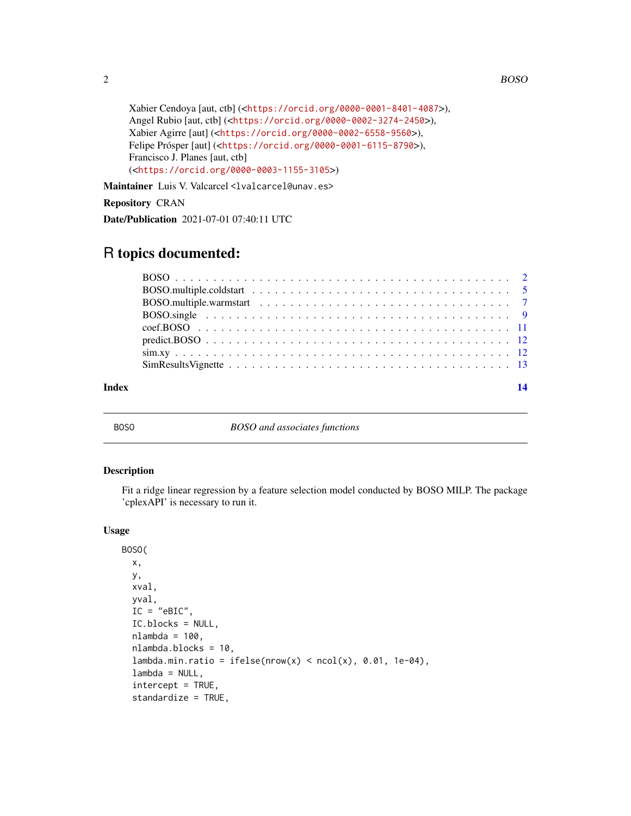```
Xabier Cendoya [aut, ctb] (<https://orcid.org/0000-0001-8401-4087>),
Angel Rubio [aut, ctb] (<https://orcid.org/0000-0002-3274-2450>),
Xabier Agirre [aut] (<https://orcid.org/0000-0002-6558-9560>),
Felipe Prósper [aut] (<https://orcid.org/0000-0001-6115-8790>),
Francisco J. Planes [aut, ctb]
(<https://orcid.org/0000-0003-1155-3105>)
```
Maintainer Luis V. Valcarcel <lvalcarcel@unav.es>

## Repository CRAN

Date/Publication 2021-07-01 07:40:11 UTC

## R topics documented:

#### **Index** 2008 **[14](#page-13-0)**

BOSO *BOSO and associates functions*

## Description

Fit a ridge linear regression by a feature selection model conducted by BOSO MILP. The package 'cplexAPI' is necessary to run it.

### Usage

```
BOSO(
  x,
 y,
  xval,
  yval,
  IC = "eBIC",IC.blocks = NULL,
 nlambda = 100,
 nlambda.blocks = 10,
  lambda.min.ratio = ifelse(nrow(x) < neol(x), 0.01, 1e-04),lambda = NULL,intercept = TRUE,
  standardize = TRUE,
```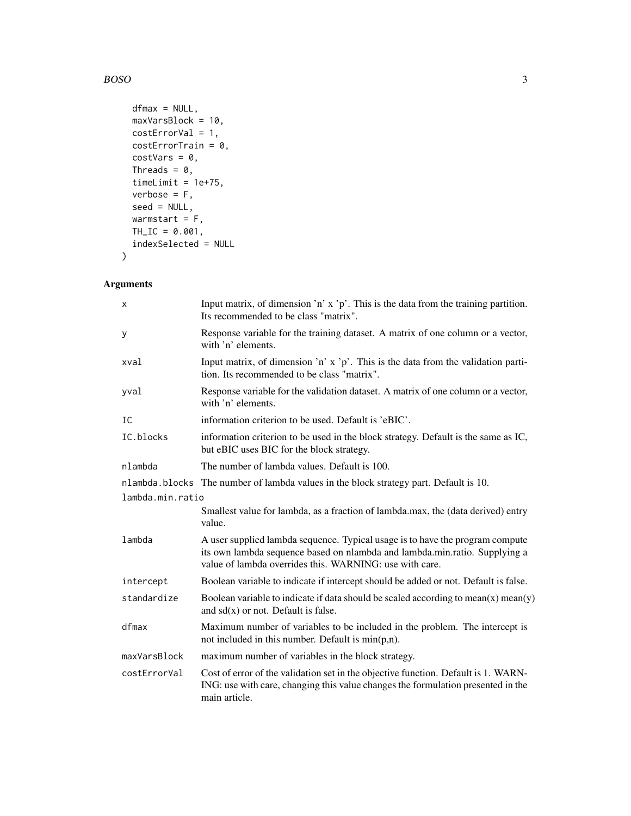#### BOSO 3

```
dfmax = NULL,maxVarsBlock = 10,
 costErrorVal = 1,
 costErrorTrain = 0,costVars = 0,Threads = 0,timeLimit = 1e+75,
 verbose = F,
 seed = NULL,
 warmstart = F,
 TH\_IC = 0.001,indexSelected = NULL
\mathcal{L}
```

| X                | Input matrix, of dimension 'n' x 'p'. This is the data from the training partition.<br>Its recommended to be class "matrix".                                                                                           |  |
|------------------|------------------------------------------------------------------------------------------------------------------------------------------------------------------------------------------------------------------------|--|
| У                | Response variable for the training dataset. A matrix of one column or a vector,<br>with 'n' elements.                                                                                                                  |  |
| xval             | Input matrix, of dimension 'n' x 'p'. This is the data from the validation parti-<br>tion. Its recommended to be class "matrix".                                                                                       |  |
| yval             | Response variable for the validation dataset. A matrix of one column or a vector,<br>with 'n' elements.                                                                                                                |  |
| IC               | information criterion to be used. Default is 'eBIC'.                                                                                                                                                                   |  |
| IC.blocks        | information criterion to be used in the block strategy. Default is the same as IC,<br>but eBIC uses BIC for the block strategy.                                                                                        |  |
| nlambda          | The number of lambda values. Default is 100.                                                                                                                                                                           |  |
|                  | nlambda.blocks The number of lambda values in the block strategy part. Default is 10.                                                                                                                                  |  |
| lambda.min.ratio |                                                                                                                                                                                                                        |  |
|                  | Smallest value for lambda, as a fraction of lambda.max, the (data derived) entry<br>value.                                                                                                                             |  |
| lambda           | A user supplied lambda sequence. Typical usage is to have the program compute<br>its own lambda sequence based on nlambda and lambda.min.ratio. Supplying a<br>value of lambda overrides this. WARNING: use with care. |  |
| intercept        | Boolean variable to indicate if intercept should be added or not. Default is false.                                                                                                                                    |  |
| standardize      | Boolean variable to indicate if data should be scaled according to mean $(x)$ mean $(y)$<br>and $sd(x)$ or not. Default is false.                                                                                      |  |
| dfmax            | Maximum number of variables to be included in the problem. The intercept is<br>not included in this number. Default is $min(p,n)$ .                                                                                    |  |
| maxVarsBlock     | maximum number of variables in the block strategy.                                                                                                                                                                     |  |
| costErrorVal     | Cost of error of the validation set in the objective function. Default is 1. WARN-<br>ING: use with care, changing this value changes the formulation presented in the<br>main article.                                |  |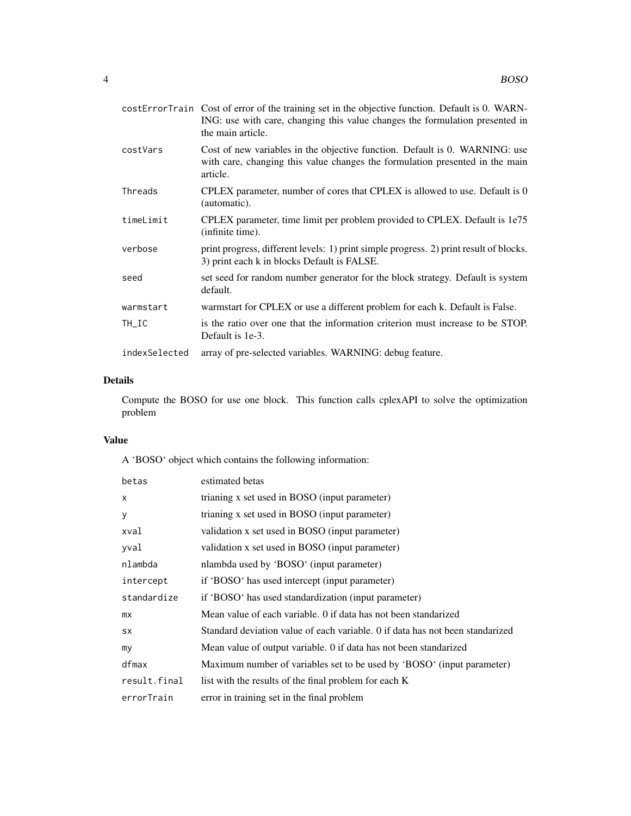|               | costErrorTrain Cost of error of the training set in the objective function. Default is 0. WARN-<br>ING: use with care, changing this value changes the formulation presented in<br>the main article. |
|---------------|------------------------------------------------------------------------------------------------------------------------------------------------------------------------------------------------------|
| costVars      | Cost of new variables in the objective function. Default is 0. WARNING: use<br>with care, changing this value changes the formulation presented in the main<br>article.                              |
| Threads       | CPLEX parameter, number of cores that CPLEX is allowed to use. Default is 0<br>(automatic).                                                                                                          |
| timeLimit     | CPLEX parameter, time limit per problem provided to CPLEX. Default is 1e75<br>(infinite time).                                                                                                       |
| verbose       | print progress, different levels: 1) print simple progress. 2) print result of blocks.<br>3) print each k in blocks Default is FALSE.                                                                |
| seed          | set seed for random number generator for the block strategy. Default is system<br>default.                                                                                                           |
| warmstart     | warmstart for CPLEX or use a different problem for each k. Default is False.                                                                                                                         |
| TH_IC         | is the ratio over one that the information criterion must increase to be STOP.<br>Default is 1e-3.                                                                                                   |
| indexSelected | array of pre-selected variables. WARNING: debug feature.                                                                                                                                             |

## Details

Compute the BOSO for use one block. This function calls cplexAPI to solve the optimization problem

## Value

A 'BOSO' object which contains the following information:

| betas        | estimated betas                                                               |
|--------------|-------------------------------------------------------------------------------|
| $\mathsf{x}$ | trianing x set used in BOSO (input parameter)                                 |
| y            | trianing x set used in BOSO (input parameter)                                 |
| xval         | validation x set used in BOSO (input parameter)                               |
| yval         | validation x set used in BOSO (input parameter)                               |
| nlambda      | nlambda used by 'BOSO' (input parameter)                                      |
| intercept    | if 'BOSO' has used intercept (input parameter)                                |
| standardize  | if 'BOSO' has used standardization (input parameter)                          |
| mx           | Mean value of each variable. 0 if data has not been standarized               |
| <b>SX</b>    | Standard deviation value of each variable. 0 if data has not been standarized |
| my           | Mean value of output variable. 0 if data has not been standarized             |
| dfmax        | Maximum number of variables set to be used by 'BOSO' (input parameter)        |
| result.final | list with the results of the final problem for each K                         |
| errorTrain   | error in training set in the final problem                                    |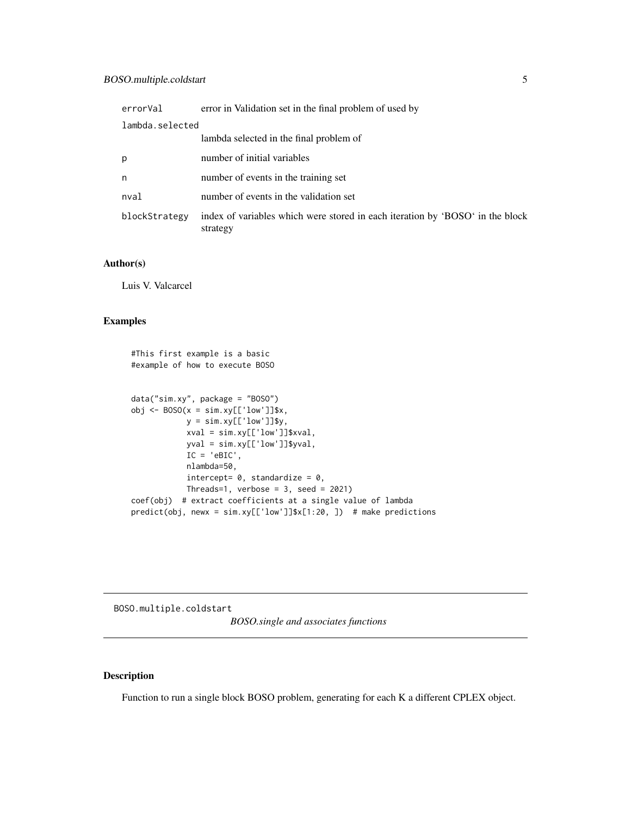<span id="page-4-0"></span>

| errorVal        | error in Validation set in the final problem of used by                                   |
|-----------------|-------------------------------------------------------------------------------------------|
| lambda.selected |                                                                                           |
|                 | lambda selected in the final problem of                                                   |
| p               | number of initial variables                                                               |
| n               | number of events in the training set                                                      |
| nval            | number of events in the validation set                                                    |
| blockStrategy   | index of variables which were stored in each iteration by 'BOSO' in the block<br>strategy |

#### Author(s)

Luis V. Valcarcel

#### Examples

```
#This first example is a basic
#example of how to execute BOSO
data("sim.xy", package = "BOSO")
obj \leq BOSO(x = sim.xy[['low']]$x,
           y = simxy[['low']]$y,
            xval = sim.xy[['low']]$xval,
            yval = sim.xy[['low']]$yval,
            IC = 'eBIC',
            nlambda=50,
            intercept= 0, standardize = 0,
           Threads=1, verbose = 3, seed = 2021)
coef(obj) # extract coefficients at a single value of lambda
```
predict(obj, newx = sim.xy[['low']]\$x[1:20, ]) # make predictions

BOSO.multiple.coldstart

*BOSO.single and associates functions*

## Description

Function to run a single block BOSO problem, generating for each K a different CPLEX object.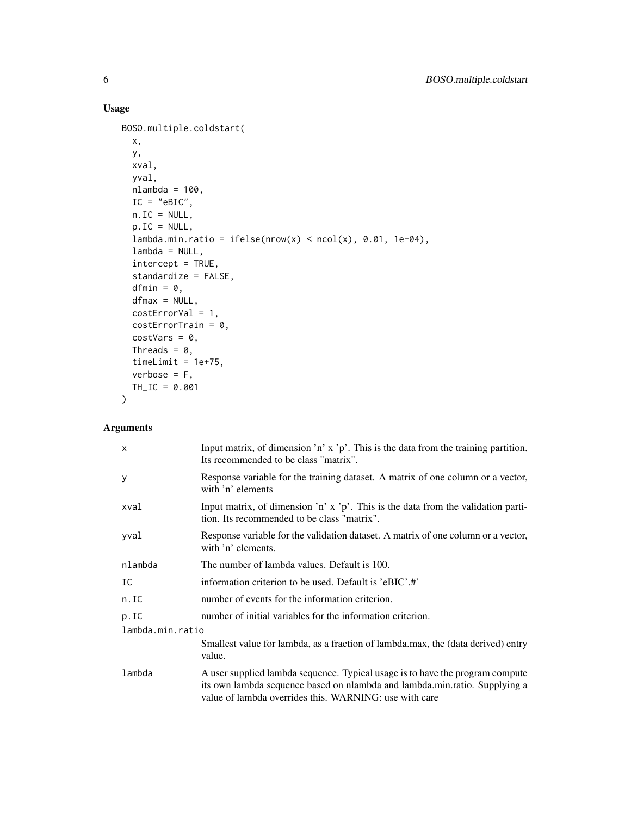## Usage

```
BOSO.multiple.coldstart(
  x,
 y,
 xval,
 yval,
 nlambda = 100,
 IC = "eBIC",n.IC = NULL,p.IC = NULL,lambda.min.ratio = ifelse(nrow(x) < neol(x), 0.01, 1e-04),lambda = NULL,
  intercept = TRUE,
  standardize = FALSE,
  dfmin = \theta,
 dfmax = NULL,costErrorVal = 1,
  costErrorTrain = 0,
  costVars = 0,
 Threads = 0,
  timeLimit = 1e+75,
  verbose = F,
 TH_IC = 0.001
\mathcal{L}
```

| $\mathsf{x}$     | Input matrix, of dimension 'n' x 'p'. This is the data from the training partition.<br>Its recommended to be class "matrix".                                                                                          |  |
|------------------|-----------------------------------------------------------------------------------------------------------------------------------------------------------------------------------------------------------------------|--|
| У                | Response variable for the training dataset. A matrix of one column or a vector,<br>with 'n' elements                                                                                                                  |  |
| xval             | Input matrix, of dimension 'n' x 'p'. This is the data from the validation parti-<br>tion. Its recommended to be class "matrix".                                                                                      |  |
| yval             | Response variable for the validation dataset. A matrix of one column or a vector,<br>with 'n' elements.                                                                                                               |  |
| nlambda          | The number of lambda values. Default is 100.                                                                                                                                                                          |  |
| IC               | information criterion to be used. Default is 'eBIC'.#'                                                                                                                                                                |  |
| n.IC             | number of events for the information criterion.                                                                                                                                                                       |  |
| p.IC             | number of initial variables for the information criterion.                                                                                                                                                            |  |
| lambda.min.ratio |                                                                                                                                                                                                                       |  |
|                  | Smallest value for lambda, as a fraction of lambda.max, the (data derived) entry<br>value.                                                                                                                            |  |
| lambda           | A user supplied lambda sequence. Typical usage is to have the program compute<br>its own lambda sequence based on nlambda and lambda.min.ratio. Supplying a<br>value of lambda overrides this. WARNING: use with care |  |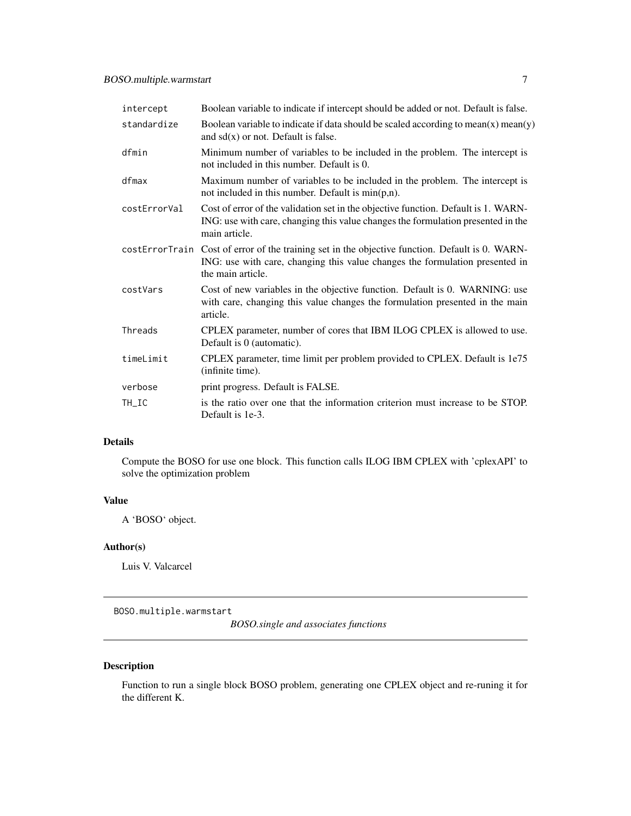<span id="page-6-0"></span>

| intercept    | Boolean variable to indicate if intercept should be added or not. Default is false.                                                                                                                  |
|--------------|------------------------------------------------------------------------------------------------------------------------------------------------------------------------------------------------------|
| standardize  | Boolean variable to indicate if data should be scaled according to mean $(x)$ mean $(y)$<br>and $sd(x)$ or not. Default is false.                                                                    |
| dfmin        | Minimum number of variables to be included in the problem. The intercept is<br>not included in this number. Default is 0.                                                                            |
| dfmax        | Maximum number of variables to be included in the problem. The intercept is<br>not included in this number. Default is $min(p,n)$ .                                                                  |
| costErrorVal | Cost of error of the validation set in the objective function. Default is 1. WARN-<br>ING: use with care, changing this value changes the formulation presented in the<br>main article.              |
|              | costErrorTrain Cost of error of the training set in the objective function. Default is 0. WARN-<br>ING: use with care, changing this value changes the formulation presented in<br>the main article. |
| costVars     | Cost of new variables in the objective function. Default is 0. WARNING: use<br>with care, changing this value changes the formulation presented in the main<br>article.                              |
| Threads      | CPLEX parameter, number of cores that IBM ILOG CPLEX is allowed to use.<br>Default is 0 (automatic).                                                                                                 |
| timeLimit    | CPLEX parameter, time limit per problem provided to CPLEX. Default is 1e75<br>(infinite time).                                                                                                       |
| verbose      | print progress. Default is FALSE.                                                                                                                                                                    |
| TH_IC        | is the ratio over one that the information criterion must increase to be STOP.<br>Default is 1e-3.                                                                                                   |

## Details

Compute the BOSO for use one block. This function calls ILOG IBM CPLEX with 'cplexAPI' to solve the optimization problem

## Value

A 'BOSO' object.

### Author(s)

Luis V. Valcarcel

BOSO.multiple.warmstart

*BOSO.single and associates functions*

## Description

Function to run a single block BOSO problem, generating one CPLEX object and re-runing it for the different K.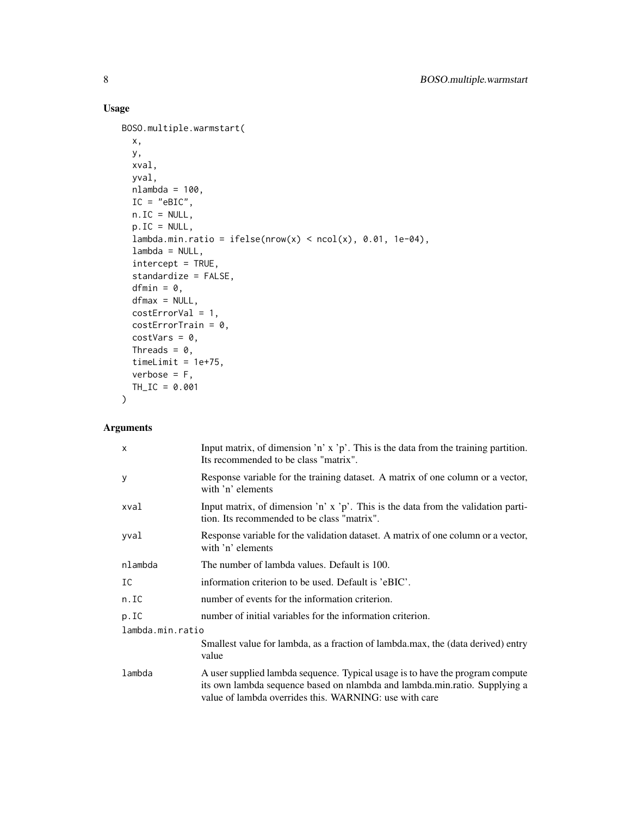## Usage

```
BOSO.multiple.warmstart(
  x,
 y,
 xval,
 yval,
 nlambda = 100,
 IC = "eBIC",n.IC = NULL,p.IC = NULL,lambda.min.ratio = ifelse(nrow(x) < ncol(x), 0.01, 1e-04),
  lambda = NULL,
  intercept = TRUE,
  standardize = FALSE,
  dfmin = 0,
 dfmax = NULL,costErrorVal = 1,
 costErrorTrain = 0,
  costVars = 0,Threads = 0,
  timeLimit = 1e+75,
  verbose = F,
 TH_IC = 0.001
\mathcal{L}
```

| $\times$         | Input matrix, of dimension 'n' $x$ 'p'. This is the data from the training partition.<br>Its recommended to be class "matrix".                                                                                        |  |
|------------------|-----------------------------------------------------------------------------------------------------------------------------------------------------------------------------------------------------------------------|--|
| У                | Response variable for the training dataset. A matrix of one column or a vector,<br>with 'n' elements                                                                                                                  |  |
| xval             | Input matrix, of dimension 'n' $x$ 'p'. This is the data from the validation parti-<br>tion. Its recommended to be class "matrix".                                                                                    |  |
| yval             | Response variable for the validation dataset. A matrix of one column or a vector,<br>with 'n' elements                                                                                                                |  |
| nlambda          | The number of lambda values. Default is 100.                                                                                                                                                                          |  |
| IC               | information criterion to be used. Default is 'eBIC'.                                                                                                                                                                  |  |
| n.IC             | number of events for the information criterion.                                                                                                                                                                       |  |
| p.IC             | number of initial variables for the information criterion.                                                                                                                                                            |  |
| lambda.min.ratio |                                                                                                                                                                                                                       |  |
|                  | Smallest value for lambda, as a fraction of lambda.max, the (data derived) entry<br>value                                                                                                                             |  |
| lambda           | A user supplied lambda sequence. Typical usage is to have the program compute<br>its own lambda sequence based on nlambda and lambda.min.ratio. Supplying a<br>value of lambda overrides this. WARNING: use with care |  |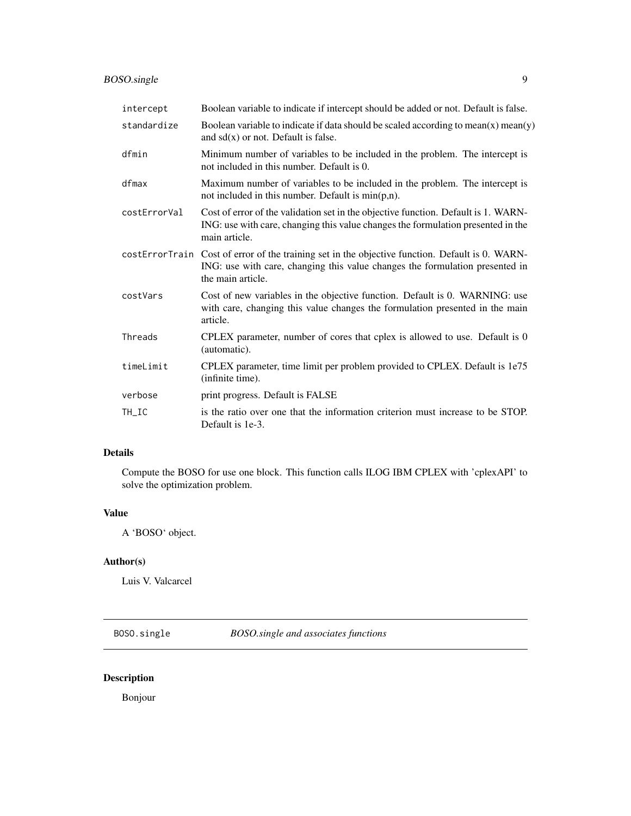<span id="page-8-0"></span>

| intercept    | Boolean variable to indicate if intercept should be added or not. Default is false.                                                                                                                  |
|--------------|------------------------------------------------------------------------------------------------------------------------------------------------------------------------------------------------------|
| standardize  | Boolean variable to indicate if data should be scaled according to mean $(x)$ mean $(y)$<br>and $sd(x)$ or not. Default is false.                                                                    |
| dfmin        | Minimum number of variables to be included in the problem. The intercept is<br>not included in this number. Default is 0.                                                                            |
| dfmax        | Maximum number of variables to be included in the problem. The intercept is<br>not included in this number. Default is $min(p,n)$ .                                                                  |
| costErrorVal | Cost of error of the validation set in the objective function. Default is 1. WARN-<br>ING: use with care, changing this value changes the formulation presented in the<br>main article.              |
|              | costErrorTrain Cost of error of the training set in the objective function. Default is 0. WARN-<br>ING: use with care, changing this value changes the formulation presented in<br>the main article. |
| costVars     | Cost of new variables in the objective function. Default is 0. WARNING: use<br>with care, changing this value changes the formulation presented in the main<br>article.                              |
| Threads      | CPLEX parameter, number of cores that cplex is allowed to use. Default is 0<br>(automatic).                                                                                                          |
| timeLimit    | CPLEX parameter, time limit per problem provided to CPLEX. Default is 1e75<br>(infinite time).                                                                                                       |
| verbose      | print progress. Default is FALSE                                                                                                                                                                     |
| TH_IC        | is the ratio over one that the information criterion must increase to be STOP.<br>Default is 1e-3.                                                                                                   |

## Details

Compute the BOSO for use one block. This function calls ILOG IBM CPLEX with 'cplexAPI' to solve the optimization problem.

## Value

A 'BOSO' object.

## Author(s)

Luis V. Valcarcel

BOSO.single *BOSO.single and associates functions*

## Description

Bonjour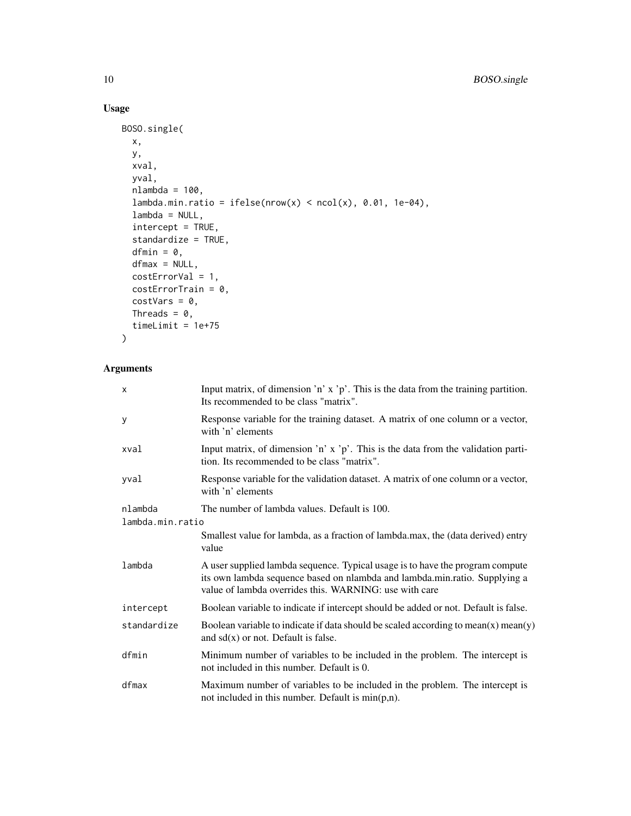## Usage

```
BOSO.single(
 x,
 y,
 xval,
 yval,
 nlambda = 100,
 lambda.min.ratio = ifelse(nrow(x) < neol(x), 0.01, 1e-04),lambda = NULL,
  intercept = TRUE,standardize = TRUE,
 dfmin = \theta,
 dfmax = NULL,
 costErrorVal = 1,costErrorTrain = 0,costVars = 0,Threads = 0,
  timeLimit = 1e+75
)
```

| x                | Input matrix, of dimension 'n' $x$ 'p'. This is the data from the training partition.<br>Its recommended to be class "matrix".                                                                                        |
|------------------|-----------------------------------------------------------------------------------------------------------------------------------------------------------------------------------------------------------------------|
| y                | Response variable for the training dataset. A matrix of one column or a vector,<br>with 'n' elements                                                                                                                  |
| xval             | Input matrix, of dimension 'n' $x$ 'p'. This is the data from the validation parti-<br>tion. Its recommended to be class "matrix".                                                                                    |
| yval             | Response variable for the validation dataset. A matrix of one column or a vector,<br>with 'n' elements                                                                                                                |
| nlambda          | The number of lambda values. Default is 100.                                                                                                                                                                          |
| lambda.min.ratio |                                                                                                                                                                                                                       |
|                  | Smallest value for lambda, as a fraction of lambda.max, the (data derived) entry<br>value                                                                                                                             |
| lambda           | A user supplied lambda sequence. Typical usage is to have the program compute<br>its own lambda sequence based on nlambda and lambda.min.ratio. Supplying a<br>value of lambda overrides this. WARNING: use with care |
| intercept        | Boolean variable to indicate if intercept should be added or not. Default is false.                                                                                                                                   |
| standardize      | Boolean variable to indicate if data should be scaled according to mean $(x)$ mean $(y)$<br>and $sd(x)$ or not. Default is false.                                                                                     |
| dfmin            | Minimum number of variables to be included in the problem. The intercept is<br>not included in this number. Default is 0.                                                                                             |
| dfmax            | Maximum number of variables to be included in the problem. The intercept is<br>not included in this number. Default is $min(p,n)$ .                                                                                   |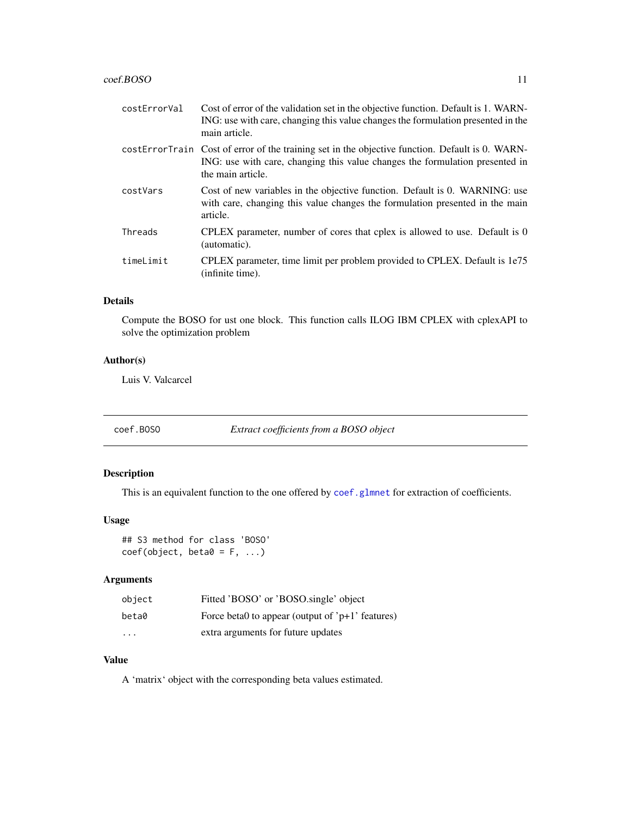#### <span id="page-10-0"></span> $\text{coeff.} \text{BOSO}$  11

| costErrorVal | Cost of error of the validation set in the objective function. Default is 1. WARN-<br>ING: use with care, changing this value changes the formulation presented in the<br>main article.              |
|--------------|------------------------------------------------------------------------------------------------------------------------------------------------------------------------------------------------------|
|              | costErrorTrain Cost of error of the training set in the objective function. Default is 0. WARN-<br>ING: use with care, changing this value changes the formulation presented in<br>the main article. |
| costVars     | Cost of new variables in the objective function. Default is 0. WARNING: use<br>with care, changing this value changes the formulation presented in the main<br>article.                              |
| Threads      | CPLEX parameter, number of cores that cplex is allowed to use. Default is 0<br>(automatic).                                                                                                          |
| timeLimit    | CPLEX parameter, time limit per problem provided to CPLEX. Default is 1e75<br>(infinite time).                                                                                                       |
|              |                                                                                                                                                                                                      |

## Details

Compute the BOSO for ust one block. This function calls ILOG IBM CPLEX with cplexAPI to solve the optimization problem

## Author(s)

Luis V. Valcarcel

coef.BOSO *Extract coefficients from a BOSO object*

## Description

This is an equivalent function to the one offered by [coef.glmnet](#page-0-0) for extraction of coefficients.

## Usage

## S3 method for class 'BOSO'  $coef(object, beta0 = F, ...)$ 

## Arguments

| object                  | Fitted 'BOSO' or 'BOSO.single' object                |
|-------------------------|------------------------------------------------------|
| beta0                   | Force beta0 to appear (output of ' $p+1$ ' features) |
| $\cdot$ $\cdot$ $\cdot$ | extra arguments for future updates                   |

## Value

A 'matrix' object with the corresponding beta values estimated.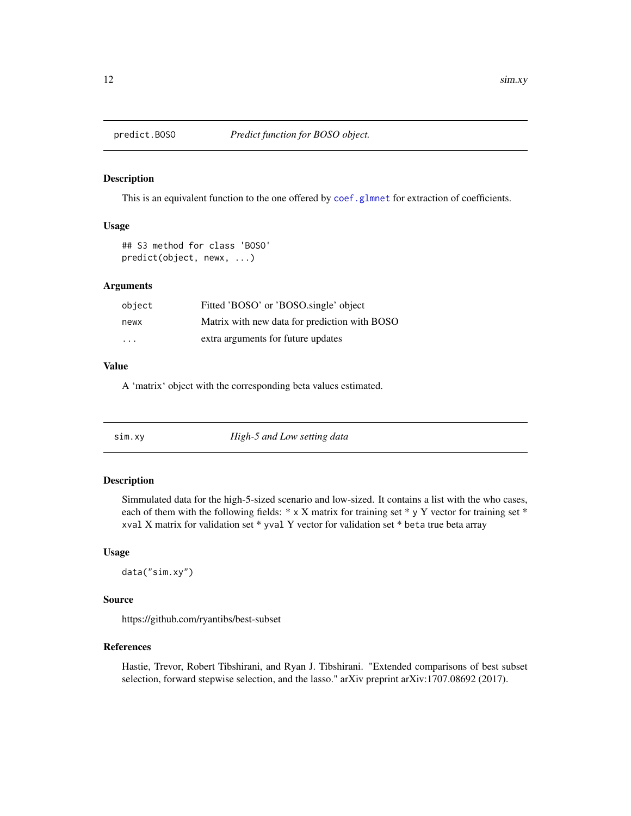<span id="page-11-0"></span>

#### Description

This is an equivalent function to the one offered by [coef.glmnet](#page-0-0) for extraction of coefficients.

## Usage

```
## S3 method for class 'BOSO'
predict(object, newx, ...)
```
#### Arguments

| object                  | Fitted 'BOSO' or 'BOSO.single' object         |
|-------------------------|-----------------------------------------------|
| newx                    | Matrix with new data for prediction with BOSO |
| $\cdot$ $\cdot$ $\cdot$ | extra arguments for future updates            |

## Value

A 'matrix' object with the corresponding beta values estimated.

| High-5 and Low setting data<br>S1M.XY |  |
|---------------------------------------|--|
|---------------------------------------|--|

## Description

Simmulated data for the high-5-sized scenario and low-sized. It contains a list with the who cases, each of them with the following fields: \* x X matrix for training set \* y Y vector for training set \* xval X matrix for validation set \* yval Y vector for validation set \* beta true beta array

#### Usage

data("sim.xy")

#### Source

https://github.com/ryantibs/best-subset

#### References

Hastie, Trevor, Robert Tibshirani, and Ryan J. Tibshirani. "Extended comparisons of best subset selection, forward stepwise selection, and the lasso." arXiv preprint arXiv:1707.08692 (2017).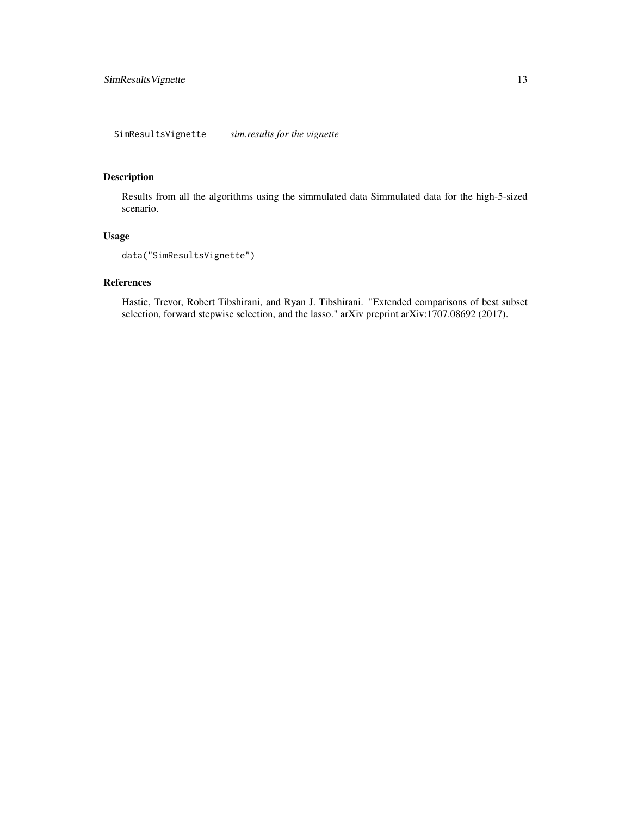## <span id="page-12-0"></span>Description

Results from all the algorithms using the simmulated data Simmulated data for the high-5-sized scenario.

#### Usage

```
data("SimResultsVignette")
```
## References

Hastie, Trevor, Robert Tibshirani, and Ryan J. Tibshirani. "Extended comparisons of best subset selection, forward stepwise selection, and the lasso." arXiv preprint arXiv:1707.08692 (2017).